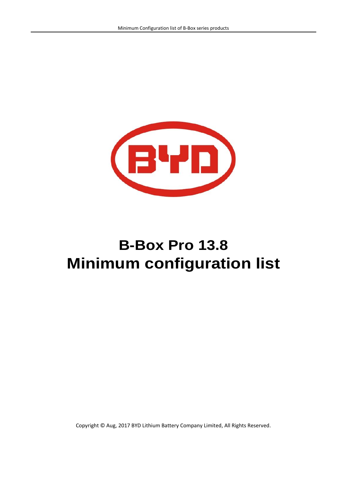

# **B-Box Pro 13.8 Minimum configuration list**

Copyright © Aug, 2017 BYD Lithium Battery Company Limited, All Rights Reserved.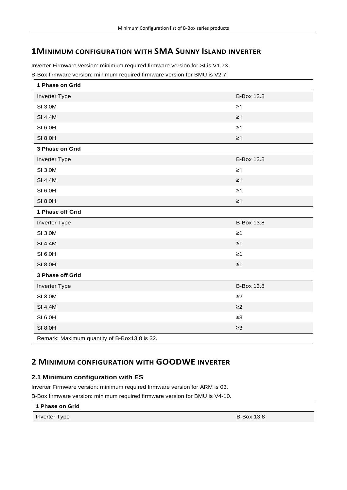# **1MINIMUM CONFIGURATION WITH SMA SUNNY ISLAND INVERTER**

Inverter Firmware version: minimum required firmware version for SI is V1.73. B-Box firmware version: minimum required firmware version for BMU is V2.7.

| 1 Phase on Grid                              |                   |
|----------------------------------------------|-------------------|
| <b>Inverter Type</b>                         | <b>B-Box 13.8</b> |
| SI 3.0M                                      | $\geq$ 1          |
| SI 4.4M                                      | $\geq 1$          |
| SI 6.0H                                      | $\geq 1$          |
| SI 8.0H                                      | $\geq 1$          |
| 3 Phase on Grid                              |                   |
| Inverter Type                                | <b>B-Box 13.8</b> |
| SI 3.0M                                      | $\geq 1$          |
| SI 4.4M                                      | $\geq$ 1          |
| SI 6.0H                                      | $\geq 1$          |
| SI 8.0H                                      | $\geq 1$          |
| 1 Phase off Grid                             |                   |
| Inverter Type                                | <b>B-Box 13.8</b> |
| SI 3.0M                                      | $\geq 1$          |
| SI 4.4M                                      | $\geq$ 1          |
| SI 6.0H                                      | $\geq 1$          |
| SI 8.0H                                      | $\geq$ 1          |
| 3 Phase off Grid                             |                   |
| Inverter Type                                | <b>B-Box 13.8</b> |
| SI 3.0M                                      | $\geq$ 2          |
| SI 4.4M                                      | $\geq$ 2          |
| SI 6.0H                                      | $\geq 3$          |
| SI 8.0H                                      | $\geq$ 3          |
| Remark: Maximum quantity of B-Box13.8 is 32. |                   |

# **2 MINIMUM CONFIGURATION WITH GOODWE INVERTER**

## **2.1 Minimum configuration with ES**

Inverter Firmware version: minimum required firmware version for ARM is 03.

B-Box firmware version: minimum required firmware version for BMU is V4-10.

**1 Phase on Grid**

Inverter Type B-Box 13.8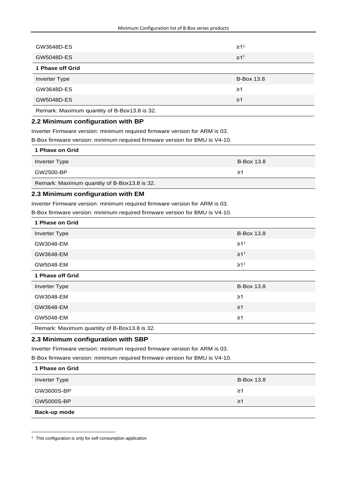| GW3648D-ES                                   | $\geq 11$         |
|----------------------------------------------|-------------------|
| GW5048D-ES                                   | $\geq 1^1$        |
| 1 Phase off Grid                             |                   |
| <b>Inverter Type</b>                         | <b>B-Box 13.8</b> |
| GW3648D-ES                                   | ≥1                |
| GW5048D-ES                                   | $\geq$ 1          |
| Remark: Maximum quantity of B-Box13.8 is 32. |                   |

#### **2.2 Minimum configuration with BP**

Inverter Firmware version: minimum required firmware version for ARM is 03.

B-Box firmware version: minimum required firmware version for BMU is V4-10.

| 1 Phase on Grid                              |                   |
|----------------------------------------------|-------------------|
| Inverter Type                                | <b>B-Box 13.8</b> |
| GW2500-BP                                    | ≥1                |
| Remark: Maximum quantity of B-Box13.8 is 32. |                   |

#### **2.3 Minimum configuration with EM**

Inverter Firmware version: minimum required firmware version for ARM is 03.

B-Box firmware version: minimum required firmware version for BMU is V4-10.

| 1 Phase on Grid      |                   |
|----------------------|-------------------|
| <b>Inverter Type</b> | <b>B-Box 13.8</b> |
| GW3048-EM            | $\geq 1^1$        |
| GW3648-EM            | $\geq 1^1$        |
| GW5048-EM            | $\geq 1^1$        |
| 1 Phase off Grid     |                   |
| Inverter Type        | <b>B-Box 13.8</b> |
| GW3048-EM            | $\geq$ 1          |
|                      |                   |
| GW3648-EM            | $\geq$ 1          |
| GW5048-EM            | $\geq$ 1          |

## **2.3 Minimum configuration with SBP**

Inverter Firmware version: minimum required firmware version for ARM is 03.

B-Box firmware version: minimum required firmware version for BMU is V4-10.

| 1 Phase on Grid |                   |
|-----------------|-------------------|
| Inverter Type   | <b>B-Box 13.8</b> |
| GW3600S-BP      | 21                |
| GW5000S-BP      | 21                |
| Back-up mode    |                   |

<sup>&</sup>lt;sup>1</sup> This configuration is only for self-consumption application

1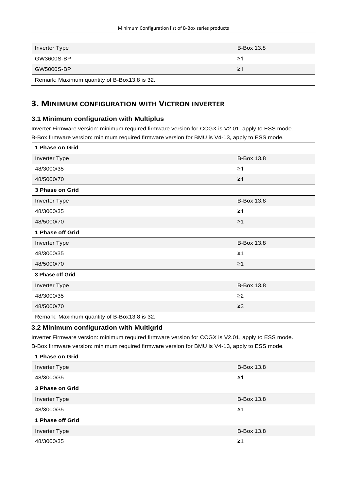| Inverter Type                                | <b>B-Box 13.8</b> |
|----------------------------------------------|-------------------|
| GW3600S-BP                                   | ≥1                |
| GW5000S-BP                                   | ≥1                |
| Remark: Maximum quantity of B-Box13.8 is 32. |                   |

# **3. MINIMUM CONFIGURATION WITH VICTRON INVERTER**

#### **3.1 Minimum configuration with Multiplus**

Inverter Firmware version: minimum required firmware version for CCGX is V2.01, apply to ESS mode. B-Box firmware version: minimum required firmware version for BMU is V4-13, apply to ESS mode.

| 1 Phase on Grid                              |                   |
|----------------------------------------------|-------------------|
| Inverter Type                                | <b>B-Box 13.8</b> |
| 48/3000/35                                   | $\geq$ 1          |
| 48/5000/70                                   | $\geq$ 1          |
| 3 Phase on Grid                              |                   |
| Inverter Type                                | <b>B-Box 13.8</b> |
| 48/3000/35                                   | $\geq 1$          |
| 48/5000/70                                   | $\geq$ 1          |
| 1 Phase off Grid                             |                   |
| Inverter Type                                | <b>B-Box 13.8</b> |
| 48/3000/35                                   | $\geq$ 1          |
| 48/5000/70                                   | $\geq$ 1          |
| 3 Phase off Grid                             |                   |
| Inverter Type                                | <b>B-Box 13.8</b> |
| 48/3000/35                                   | $\geq$ 2          |
| 48/5000/70                                   | $\geq$ 3          |
| Remark: Maximum quantity of B-Box13.8 is 32. |                   |

## **3.2 Minimum configuration with Multigrid**

Inverter Firmware version: minimum required firmware version for CCGX is V2.01, apply to ESS mode.

B-Box firmware version: minimum required firmware version for BMU is V4-13, apply to ESS mode.

| 1 Phase on Grid  |                   |
|------------------|-------------------|
| Inverter Type    | <b>B-Box 13.8</b> |
| 48/3000/35       | ≥1                |
| 3 Phase on Grid  |                   |
| Inverter Type    | <b>B-Box 13.8</b> |
| 48/3000/35       | ≥1                |
| 1 Phase off Grid |                   |
| Inverter Type    | <b>B-Box 13.8</b> |
| 48/3000/35       | ≥1                |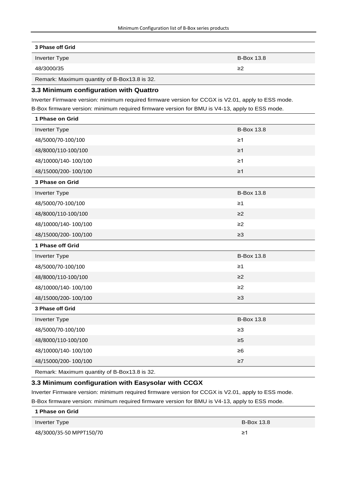#### **3 Phase off Grid**

Inverter Type B-Box 13.8

48/3000/35 ≥2

Remark: Maximum quantity of B-Box13.8 is 32.

#### **3.3 Minimum configuration with Quattro**

Inverter Firmware version: minimum required firmware version for CCGX is V2.01, apply to ESS mode.

B-Box firmware version: minimum required firmware version for BMU is V4-13, apply to ESS mode.

| 1 Phase on Grid                              |                   |
|----------------------------------------------|-------------------|
| Inverter Type                                | <b>B-Box 13.8</b> |
| 48/5000/70-100/100                           | $\geq 1$          |
| 48/8000/110-100/100                          | $\geq$ 1          |
| 48/10000/140-100/100                         | $\geq$ 1          |
| 48/15000/200-100/100                         | $\geq$ 1          |
| 3 Phase on Grid                              |                   |
| Inverter Type                                | <b>B-Box 13.8</b> |
| 48/5000/70-100/100                           | $\geq 1$          |
| 48/8000/110-100/100                          | $\geq$ 2          |
| 48/10000/140-100/100                         | $\geq$ 2          |
| 48/15000/200-100/100                         | $\geq$ 3          |
| 1 Phase off Grid                             |                   |
| Inverter Type                                | <b>B-Box 13.8</b> |
| 48/5000/70-100/100                           | $\geq$ 1          |
| 48/8000/110-100/100                          | $\geq$ 2          |
| 48/10000/140-100/100                         | $\geq$ 2          |
| 48/15000/200-100/100                         | $\geq$ 3          |
| 3 Phase off Grid                             |                   |
| Inverter Type                                | <b>B-Box 13.8</b> |
| 48/5000/70-100/100                           | $\geq 3$          |
| 48/8000/110-100/100                          | $\geq 5$          |
| 48/10000/140-100/100                         | $\geq 6$          |
| 48/15000/200-100/100                         | $\geq 7$          |
| Remark: Maximum quantity of B-Box13.8 is 32. |                   |

#### **3.3 Minimum configuration with Easysolar with CCGX**

Inverter Firmware version: minimum required firmware version for CCGX is V2.01, apply to ESS mode. B-Box firmware version: minimum required firmware version for BMU is V4-13, apply to ESS mode.

| 1 Phase on Grid          |                   |
|--------------------------|-------------------|
| Inverter Type            | <b>B-Box 13.8</b> |
| 48/3000/35-50 MPPT150/70 | ≥1                |